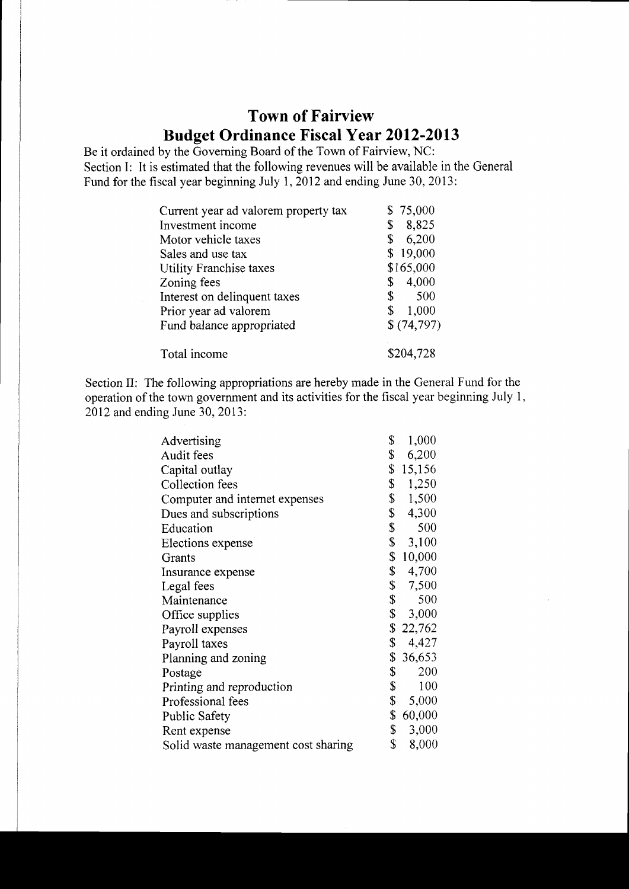## Town of Fairview Budget Ordinance Fiscal Year 2012-2013

Be it ordained by the Governing Board of the Town of Fairview, NC: Section I: It is estimated that the following revenues will be available in the General Fund for the fiscal year beginning July 1, 2012 and ending June 30, 2013:

| Current year ad valorem property tax | \$75,000    |  |
|--------------------------------------|-------------|--|
| Investment income                    | 8,825<br>\$ |  |
| Motor vehicle taxes                  | 6,200<br>\$ |  |
| Sales and use tax                    | \$19,000    |  |
| Utility Franchise taxes              | \$165,000   |  |
| Zoning fees                          | 4,000<br>\$ |  |
| Interest on delinquent taxes         | \$<br>500   |  |
| Prior year ad valorem                | 1,000<br>\$ |  |
| Fund balance appropriated            | \$(74,797)  |  |
| Total income                         | \$204,728   |  |

Section II: The following appropriations are hereby made in the General Fund for the operation of the town govemment and its activities for the fiscal year beginning July l, 2012 and endine June 30. 2013:

| Advertising                         | \$           | 1,000    |
|-------------------------------------|--------------|----------|
| Audit fees                          | \$           | 6,200    |
| Capital outlay                      | \$           | 15,156   |
| Collection fees                     | \$           | 1,250    |
| Computer and internet expenses      | \$           | 1,500    |
| Dues and subscriptions              | \$           | 4,300    |
| Education                           | \$           | 500      |
| Elections expense                   | \$           | 3,100    |
| Grants                              | \$           | 10,000   |
| Insurance expense                   | \$           | 4,700    |
| Legal fees                          | $\mathbb{S}$ | 7,500    |
| Maintenance                         | \$           | 500      |
| Office supplies                     | \$           | 3,000    |
| Payroll expenses                    |              | \$22,762 |
| Payroll taxes                       | \$           | 4,427    |
| Planning and zoning                 | \$.          | 36,653   |
| Postage                             | \$           | 200      |
| Printing and reproduction           | \$           | 100      |
| Professional fees                   | \$           | 5,000    |
| <b>Public Safety</b>                | \$           | 60,000   |
| Rent expense                        | \$           | 3,000    |
| Solid waste management cost sharing | \$           | 8,000    |